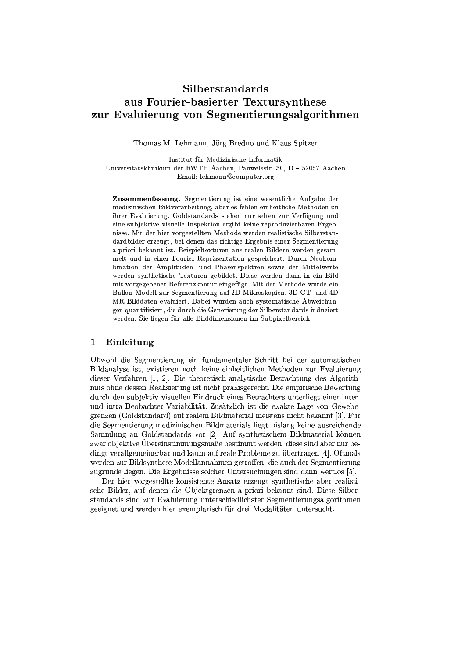# Silberstandards aus Fourier-basierter Textursynthese zur Evaluierung von Segmentierungsalgorithmen

Thomas M. Lehmann, Jörg Bredno und Klaus Spitzer

Institut für Medizinische Informatik Universitätsklinikum der RWTH Aachen. Pauwelsstr. 30. D – 52057 Aachen Email: lehmann@computer.org

Zusammenfassung. Segmentierung ist eine wesentliche Aufgabe der medizinischen Bildverarbeitung, aber es fehlen einheitliche Methoden zu ihrer Evaluierung. Goldstandards stehen nur selten zur Verfügung und eine subjektive visuelle Inspektion ergibt keine reproduzierbaren Ergebnisse. Mit der hier vorgestellten Methode werden realistische Silberstandardbilder erzeugt, bei denen das richtige Ergebnis einer Segmentierung a-priori bekannt ist. Beispieltexturen aus realen Bildern werden gesammelt und in einer Fourier-Repräsentation gespeichert. Durch Neukombination der Amplituden- und Phasenspektren sowie der Mittelwerte werden synthetische Texturen gebildet. Diese werden dann in ein Bild mit vorgegebener Referenzkontur eingefügt. Mit der Methode wurde ein Ballon-Modell zur Segmentierung auf 2D Mikroskopien, 3D CT- und 4D MR-Bilddaten evaluiert. Dabei wurden auch systematische Abweichungen quantifiziert, die durch die Generierung der Silberstandards induziert werden. Sie liegen für alle Bilddimensionen im Subpixelbereich.

### Einleitung  $\mathbf{1}$

Obwohl die Segmentierung ein fundamentaler Schritt bei der automatischen Bildanalyse ist, existieren noch keine einheitlichen Methoden zur Evaluierung dieser Verfahren [1, 2]. Die theoretisch-analytische Betrachtung des Algorithmus ohne dessen Realisierung ist nicht praxisgerecht. Die empirische Bewertung durch den subjektiv-visuellen Eindruck eines Betrachters unterliegt einer interund intra-Beobachter-Variabilität. Zusätzlich ist die exakte Lage von Gewebegrenzen (Goldstandard) auf realem Bildmaterial meistens nicht bekannt [3]. Für die Segmentierung medizinischen Bildmaterials liegt bislang keine ausreichende Sammlung an Goldstandards vor [2]. Auf synthetischem Bildmaterial können zwar objektive Übereinstimmungsmaße bestimmt werden, diese sind aber nur bedingt verallgemeinerbar und kaum auf reale Probleme zu übertragen [4]. Oftmals werden zur Bildsynthese Modellannahmen getroffen, die auch der Segmentierung zugrunde liegen. Die Ergebnisse solcher Untersuchungen sind dann wertlos [5].

Der hier vorgestellte konsistente Ansatz erzeugt synthetische aber realistische Bilder, auf denen die Objektgrenzen a-priori bekannt sind. Diese Silberstandards sind zur Evaluierung unterschiedlichster Segmentierungsalgorithmen geeignet und werden hier exemplarisch für drei Modalitäten untersucht.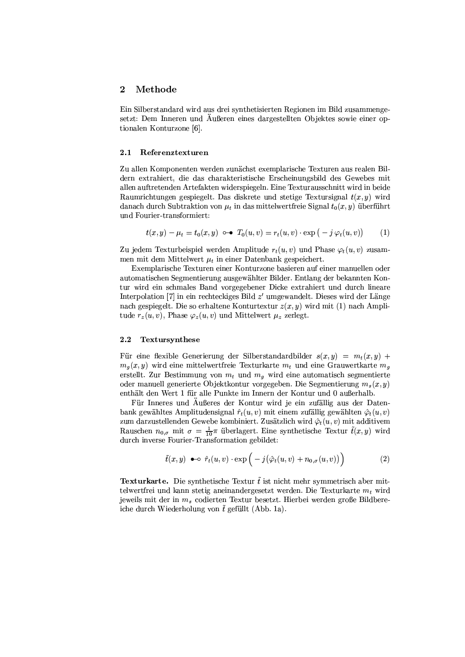#### $\boldsymbol{2}$ Methode

Ein Silberstandard wird aus drei synthetisierten Regionen im Bild zusammengesetzt: Dem Inneren und Äußeren eines dargestellten Objektes sowie einer optionalen Konturzone [6].

#### $2.1$ Referenztexturen

Zu allen Komponenten werden zunächst exemplarische Texturen aus realen Bildern extrahiert, die das charakteristische Erscheinungsbild des Gewebes mit allen auftretenden Artefakten widerspiegeln. Eine Texturausschnitt wird in beide Raumrichtungen gespiegelt. Das diskrete und stetige Textursignal  $t(x, y)$  wird danach durch Subtraktion von  $\mu_t$  in das mittelwertfreie Signal  $t_0(x, y)$  überführt und Fourier-transformiert:

$$
t(x,y) - \mu_t = t_0(x,y) \quad \text{or} \quad T_0(u,v) = r_t(u,v) \cdot \exp(-j\varphi_t(u,v)) \tag{1}
$$

Zu jedem Texturbeispiel werden Amplitude  $r_t(u, v)$  und Phase  $\varphi_t(u, v)$  zusammen mit dem Mittelwert  $\mu_t$  in einer Datenbank gespeichert.

Exemplarische Texturen einer Konturzone basieren auf einer manuellen oder automatischen Segmentierung ausgewählter Bilder. Entlang der bekannten Kontur wird ein schmales Band vorgegebener Dicke extrahiert und durch lineare Interpolation [7] in ein rechteckiges Bild  $z'$  umgewandelt. Dieses wird der Länge nach gespiegelt. Die so erhaltene Konturtextur  $z(x, y)$  wird mit (1) nach Amplitude  $r_z(u, v)$ , Phase  $\varphi_z(u, v)$  und Mittelwert  $\mu_z$  zerlegt.

#### $2.2$ Textursynthese

Für eine flexible Generierung der Silberstandardbilder  $s(x, y) = m_t(x, y) +$  $m_q(x, y)$  wird eine mittelwertfreie Texturkarte  $m_t$  und eine Grauwertkarte  $m_q$ erstellt. Zur Bestimmung von  $m_t$  und  $m_q$  wird eine automatisch segmentierte oder manuell generierte Objektkontur vorgegeben. Die Segmentierung  $m_s(x, y)$ enthält den Wert 1 für alle Punkte im Innern der Kontur und 0 außerhalb.

Für Inneres und Außeres der Kontur wird je ein zufällig aus der Datenbank gewähltes Amplitudensignal  $\hat{r}_t(u, v)$  mit einem zufällig gewählten  $\hat{\varphi}_t(u, v)$ zum darzustellenden Gewebe kombiniert. Zusätzlich wird  $\hat{\varphi}_t(u, v)$  mit additivem Rauschen  $n_{0,\sigma}$  mit  $\sigma = \frac{1}{10}\pi$  überlagert. Eine synthetische Textur  $\tilde{t}(x,y)$  wird durch inverse Fourier-Transformation gebildet:

$$
\tilde{t}(x,y) \ \bullet \circ \ \hat{r}_t(u,v) \cdot \exp\Big(-j\big(\hat{\varphi}_t(u,v) + n_{0,\sigma}(u,v)\big)\Big) \tag{2}
$$

**Texturkarte.** Die synthetische Textur  $\tilde{t}$  ist nicht mehr symmetrisch aber mittelwertfrei und kann stetig aneinandergesetzt werden. Die Texturkarte  $m_t$  wird jeweils mit der in  $m_s$  codierten Textur besetzt. Hierbei werden große Bildbereiche durch Wiederholung von  $\tilde{t}$  gefüllt (Abb. 1a).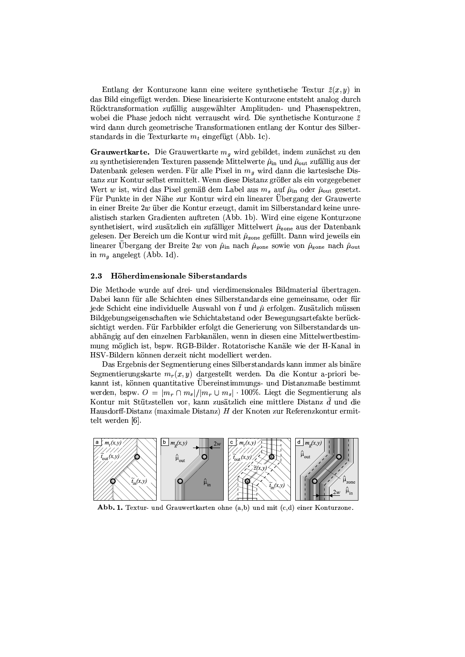Entlang der Konturzone kann eine weitere synthetische Textur  $\tilde{z}(x, y)$  in das Bild eingefügt werden. Diese linearisierte Konturzone entsteht analog durch Rücktransformation zufällig ausgewählter Amplituden- und Phasenspektren, wobei die Phase jedoch nicht verrauscht wird. Die synthetische Konturzone  $\tilde{z}$ wird dann durch geometrische Transformationen entlang der Kontur des Silberstandards in die Texturkarte  $m_t$  eingefügt (Abb. 1c).

Grauwertkarte. Die Grauwertkarte  $m_q$  wird gebildet, indem zunächst zu den zu synthetisierenden Texturen passende Mittelwerte  $\hat{\mu}_{in}$  und  $\hat{\mu}_{out}$  zufällig aus der Datenbank gelesen werden. Für alle Pixel in  $m<sub>g</sub>$  wird dann die kartesische Distanz zur Kontur selbst ermittelt. Wenn diese Distanz größer als ein vorgegebener Wert w ist, wird das Pixel gemäß dem Label aus  $m_s$  auf  $\hat{\mu}_{in}$  oder  $\hat{\mu}_{out}$  gesetzt. Für Punkte in der Nähe zur Kontur wird ein linearer Ubergang der Grauwerte in einer Breite 2w über die Kontur erzeugt, damit im Silberstandard keine unrealistisch starken Gradienten auftreten (Abb. 1b). Wird eine eigene Konturzone synthetisiert, wird zusätzlich ein zufälliger Mittelwert  $\hat{\mu}_{\text{zone}}$  aus der Datenbank gelesen. Der Bereich um die Kontur wird mit  $\hat{\mu}_{\text{zone}}$  gefüllt. Dann wird jeweils ein linearer Ubergang der Breite 2w von  $\hat{\mu}_{in}$  nach  $\hat{\mu}_{zone}$  sowie von  $\hat{\mu}_{zone}$  nach  $\hat{\mu}_{out}$ in  $m_q$  angelegt (Abb. 1d).

#### 2.3 Höherdimensionale Siberstandards

Die Methode wurde auf drei- und vierdimensionales Bildmaterial übertragen. Dabei kann für alle Schichten eines Silberstandards eine gemeinsame, oder für jede Schicht eine individuelle Auswahl von  $\tilde{t}$  und  $\hat{\mu}$  erfolgen. Zusätzlich müssen Bildgebungseigenschaften wie Schichtabstand oder Bewegungsartefakte berücksichtigt werden. Für Farbbilder erfolgt die Generierung von Silberstandards unabhängig auf den einzelnen Farbkanälen, wenn in diesen eine Mittelwertbestimmung möglich ist, bspw. RGB-Bilder. Rotatorische Kanäle wie der H-Kanal in HSV-Bildern können derzeit nicht modelliert werden.

Das Ergebnis der Segmentierung eines Silberstandards kann immer als binäre Segmentierungskarte  $m_r(x, y)$  dargestellt werden. Da die Kontur a-priori bekannt ist, können quantitative Übereinstimmungs- und Distanzmaße bestimmt werden, bspw.  $O = |m_r \cap m_s|/|m_r \cup m_s| \cdot 100\%$ . Liegt die Segmentierung als Kontur mit Stützstellen vor, kann zusätzlich eine mittlere Distanz  $\bar{d}$  und die Hausdorff-Distanz (maximale Distanz)  $H$  der Knoten zur Referenzkontur ermittelt werden [6].



Abb. 1. Textur- und Grauwertkarten ohne (a,b) und mit (c,d) einer Konturzone.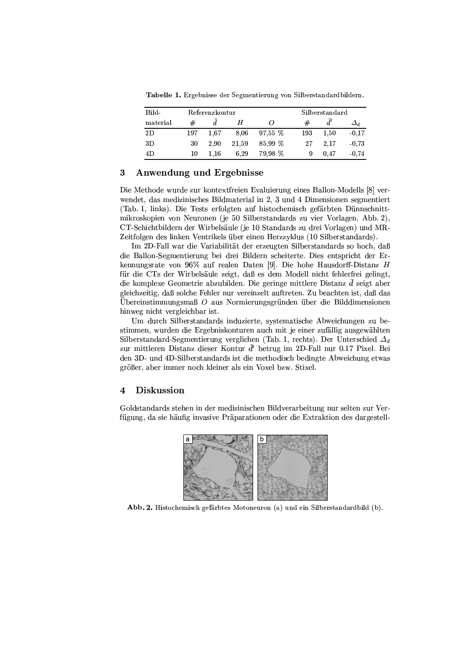Tabelle 1. Ergebnisse der Segmentierung von Silberstandardbildern.

| Bild-    | Referenzkontur |      |       |           | Silberstandard |      |            |
|----------|----------------|------|-------|-----------|----------------|------|------------|
| material | #              |      | Н     |           | #              |      | $\Delta_d$ |
| 2D       | 197            | 1.67 | 8.06  | $97.55\%$ | 193            | 1.50 | $-0.17$    |
| 3D       | 30             | 2.90 | 21.59 | 85.99 %   | 27             | 2.17 | $-0.73$    |
| 4D       | 10             | 1.16 | 6.29  | 79.98 %   | 9              | 0.47 | $-0.74$    |

# Anwendung und Ergebnisse 3

Die Methode wurde zur kontextfreien Evaluierung eines Ballon-Modells [8] verwendet, das medizinisches Bildmaterial in 2, 3 und 4 Dimensionen segmentiert (Tab. 1, links). Die Tests erfolgten auf histochemisch gefärbten Dünnschnittmikroskopien von Neuronen (je 50 Silberstandards zu vier Vorlagen, Abb. 2), CT-Schichtbildern der Wirbelsäule (je 10 Standards zu drei Vorlagen) und MR-Zeitfolgen des linken Ventrikels über einen Herzzyklus (10 Silberstandards).

Im 2D-Fall war die Variabilität der erzeugten Silberstandards so hoch, daß die Ballon-Segmentierung bei drei Bildern scheiterte. Dies entspricht der Erkennungsrate von 96% auf realen Daten [9]. Die hohe Hausdorff-Distanz H für die CTs der Wirbelsäule zeigt, daß es dem Modell nicht fehlerfrei gelingt, die komplexe Geometrie abzubilden. Die geringe mittlere Distanz  $\bar{d}$  zeigt aber gleichzeitig, daß solche Fehler nur vereinzelt auftreten. Zu beachten ist, daß das Übereinstimmungsmaß  $O$  aus Normierungsgründen über die Bilddimensionen hinweg nicht vergleichbar ist.

Um durch Silberstandards induzierte, systematische Abweichungen zu bestimmen, wurden die Ergebniskonturen auch mit je einer zufällig ausgewählten Silberstandard-Segmentierung verglichen (Tab. 1. rechts). Der Unterschied  $\Delta_d$ zur mittleren Distanz dieser Kontur  $\bar{d}'$  betrug im 2D-Fall nur 0.17 Pixel. Bei den 3D- und 4D-Silberstandards ist die methodisch bedingte Abweichung etwas größer, aber immer noch kleiner als ein Voxel bzw. Stixel.

# **Diskussion**  $\overline{\mathbf{4}}$

Goldstandards stehen in der medizinischen Bildverarbeitung nur selten zur Verfügung, da sie häufig invasive Präparationen oder die Extraktion des dargestell-



Abb. 2. Histochemisch gefärbtes Motoneuron (a) und ein Silberstandardbild (b).